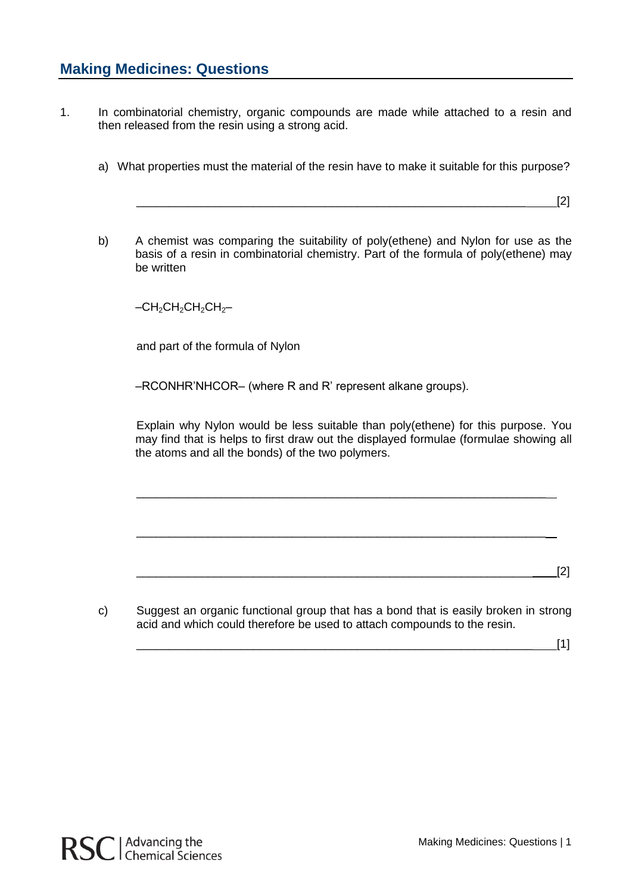- 1. In combinatorial chemistry, organic compounds are made while attached to a resin and then released from the resin using a strong acid.
	- a) What properties must the material of the resin have to make it suitable for this purpose?

\_\_\_\_\_\_\_\_\_\_\_\_\_\_\_\_\_\_\_\_\_\_\_\_\_\_\_\_\_\_\_\_\_\_\_\_\_\_\_\_\_\_\_\_\_\_\_\_\_\_\_\_\_\_\_\_\_\_\_\_ [2]

b) A chemist was comparing the suitability of poly(ethene) and Nylon for use as the basis of a resin in combinatorial chemistry. Part of the formula of poly(ethene) may be written

 $-CH_2CH_2CH_2CH_2CH_2$ 

and part of the formula of Nylon

–RCONHR'NHCOR– (where R and R' represent alkane groups).

Explain why Nylon would be less suitable than poly(ethene) for this purpose. You may find that is helps to first draw out the displayed formulae (formulae showing all the atoms and all the bonds) of the two polymers.

\_\_\_\_\_\_\_\_\_\_\_\_\_\_\_\_\_\_\_\_\_\_\_\_\_\_\_\_\_\_\_\_\_\_\_\_\_\_\_\_\_\_\_\_\_\_\_\_\_\_\_\_\_\_\_\_\_\_\_\_\_\_\_

\_\_\_\_\_\_\_\_\_\_\_\_\_\_\_\_\_\_\_\_\_\_\_\_\_\_\_\_\_\_\_\_\_\_\_\_\_\_\_\_\_\_\_\_\_\_\_\_\_\_\_\_\_\_\_\_\_\_\_\_\_\_\_

\_\_\_\_\_\_\_\_\_\_\_\_\_\_\_\_\_\_\_\_\_\_\_\_\_\_\_\_\_\_\_\_\_\_\_\_\_\_\_\_\_\_\_\_\_\_\_\_\_\_\_\_\_\_\_\_\_\_\_\_\_ [2]

c) Suggest an organic functional group that has a bond that is easily broken in strong acid and which could therefore be used to attach compounds to the resin.

\_\_\_\_\_\_\_\_\_\_\_\_\_\_\_\_\_\_\_\_\_\_\_\_\_\_\_\_\_\_\_\_\_\_\_\_\_\_\_\_\_\_\_\_\_\_\_\_\_\_\_\_\_\_\_\_\_\_\_\_\_ [1]

RSC | Advancing the<br>
RSC | Chemical Sciences